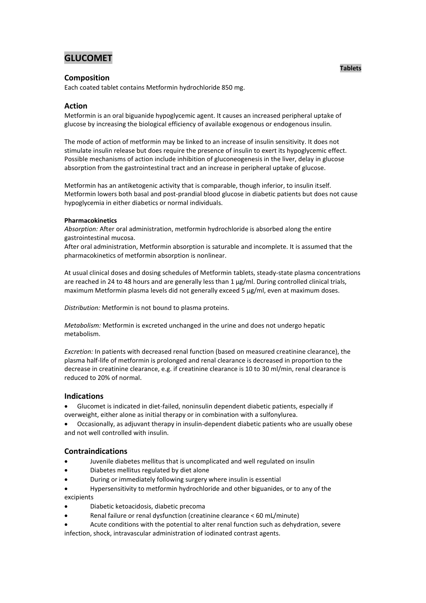# **GLUCOMET**

# **Composition**

Each coated tablet contains Metformin hydrochloride 850 mg.

# **Action**

Metformin is an oral biguanide hypoglycemic agent. It causes an increased peripheral uptake of glucose by increasing the biological efficiency of available exogenous or endogenous insulin.

The mode of action of metformin may be linked to an increase of insulin sensitivity. It does not stimulate insulin release but does require the presence of insulin to exert its hypoglycemic effect. Possible mechanisms of action include inhibition of gluconeogenesis in the liver, delay in glucose absorption from the gastrointestinal tract and an increase in peripheral uptake of glucose.

Metformin has an antiketogenic activity that is comparable, though inferior, to insulin itself. Metformin lowers both basal and post-prandial blood glucose in diabetic patients but does not cause hypoglycemia in either diabetics or normal individuals.

#### **Pharmacokinetics**

*Absorption:* After oral administration, metformin hydrochloride is absorbed along the entire gastrointestinal mucosa.

After oral administration, Metformin absorption is saturable and incomplete. It is assumed that the pharmacokinetics of metformin absorption is nonlinear.

At usual clinical doses and dosing schedules of Metformin tablets, steady-state plasma concentrations are reached in 24 to 48 hours and are generally less than 1 μg/ml. During controlled clinical trials, maximum Metformin plasma levels did not generally exceed 5 μg/ml, even at maximum doses.

*Distribution:* Metformin is not bound to plasma proteins.

*Metabolism:* Metformin is excreted unchanged in the urine and does not undergo hepatic metabolism.

*Excretion:* In patients with decreased renal function (based on measured creatinine clearance), the plasma half-life of metformin is prolonged and renal clearance is decreased in proportion to the decrease in creatinine clearance, e.g. if creatinine clearance is 10 to 30 ml/min, renal clearance is reduced to 20% of normal.

## **Indications**

- Glucomet is indicated in diet-failed, noninsulin dependent diabetic patients, especially if overweight, either alone as initial therapy or in combination with a sulfonylurea.
- Occasionally, as adjuvant therapy in insulin-dependent diabetic patients who are usually obese and not well controlled with insulin.

## **Contraindications**

- Juvenile diabetes mellitus that is uncomplicated and well regulated on insulin
- Diabetes mellitus regulated by diet alone
- During or immediately following surgery where insulin is essential
- Hypersensitivity to metformin hydrochloride and other biguanides, or to any of the excipients
- Diabetic ketoacidosis, diabetic precoma
- Renal failure or renal dysfunction (creatinine clearance < 60 mL/minute)
- Acute conditions with the potential to alter renal function such as dehydration, severe

infection, shock, intravascular administration of iodinated contrast agents.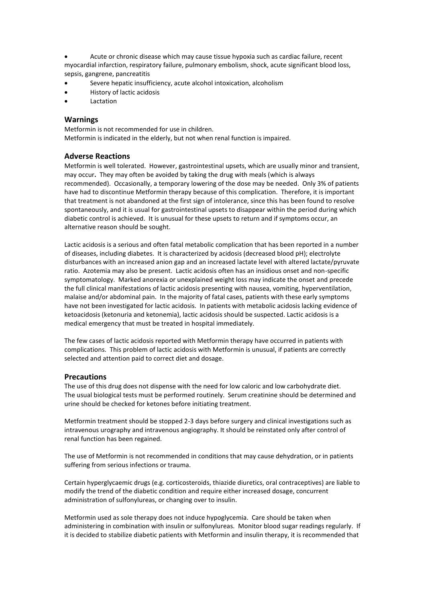Acute or chronic disease which may cause tissue hypoxia such as cardiac failure, recent myocardial infarction, respiratory failure, pulmonary embolism, shock, acute significant blood loss, sepsis, gangrene, pancreatitis

- Severe hepatic insufficiency, acute alcohol intoxication, alcoholism
- History of lactic acidosis
- **A** Lactation

## **Warnings**

Metformin is not recommended for use in children. Metformin is indicated in the elderly, but not when renal function is impaired.

## **Adverse Reactions**

Metformin is well tolerated. However, gastrointestinal upsets, which are usually minor and transient, may occur**.** They may often be avoided by taking the drug with meals (which is always recommended). Occasionally, a temporary lowering of the dose may be needed. Only 3% of patients have had to discontinue Metformin therapy because of this complication. Therefore, it is important that treatment is not abandoned at the first sign of intolerance, since this has been found to resolve spontaneously, and it is usual for gastrointestinal upsets to disappear within the period during which diabetic control is achieved. It is unusual for these upsets to return and if symptoms occur, an alternative reason should be sought.

Lactic acidosis is a serious and often fatal metabolic complication that has been reported in a number of diseases, including diabetes. It is characterized by acidosis (decreased blood pH); electrolyte disturbances with an increased anion gap and an increased lactate level with altered lactate/pyruvate ratio. Azotemia may also be present. Lactic acidosis often has an insidious onset and non-specific symptomatology. Marked anorexia or unexplained weight loss may indicate the onset and precede the full clinical manifestations of lactic acidosis presenting with nausea, vomiting, hyperventilation, malaise and/or abdominal pain. In the majority of fatal cases, patients with these early symptoms have not been investigated for lactic acidosis. In patients with metabolic acidosis lacking evidence of ketoacidosis (ketonuria and ketonemia), lactic acidosis should be suspected. Lactic acidosis is a medical emergency that must be treated in hospital immediately.

The few cases of lactic acidosis reported with Metformin therapy have occurred in patients with complications. This problem of lactic acidosis with Metformin is unusual, if patients are correctly selected and attention paid to correct diet and dosage.

## **Precautions**

The use of this drug does not dispense with the need for low caloric and low carbohydrate diet. The usual biological tests must be performed routinely. Serum creatinine should be determined and urine should be checked for ketones before initiating treatment.

Metformin treatment should be stopped 2-3 days before surgery and clinical investigations such as intravenous urography and intravenous angiography. It should be reinstated only after control of renal function has been regained.

The use of Metformin is not recommended in conditions that may cause dehydration, or in patients suffering from serious infections or trauma.

Certain hyperglycaemic drugs (e.g. corticosteroids, thiazide diuretics, oral contraceptives) are liable to modify the trend of the diabetic condition and require either increased dosage, concurrent administration of sulfonylureas, or changing over to insulin.

Metformin used as sole therapy does not induce hypoglycemia. Care should be taken when administering in combination with insulin or sulfonylureas. Monitor blood sugar readings regularly. If it is decided to stabilize diabetic patients with Metformin and insulin therapy, it is recommended that